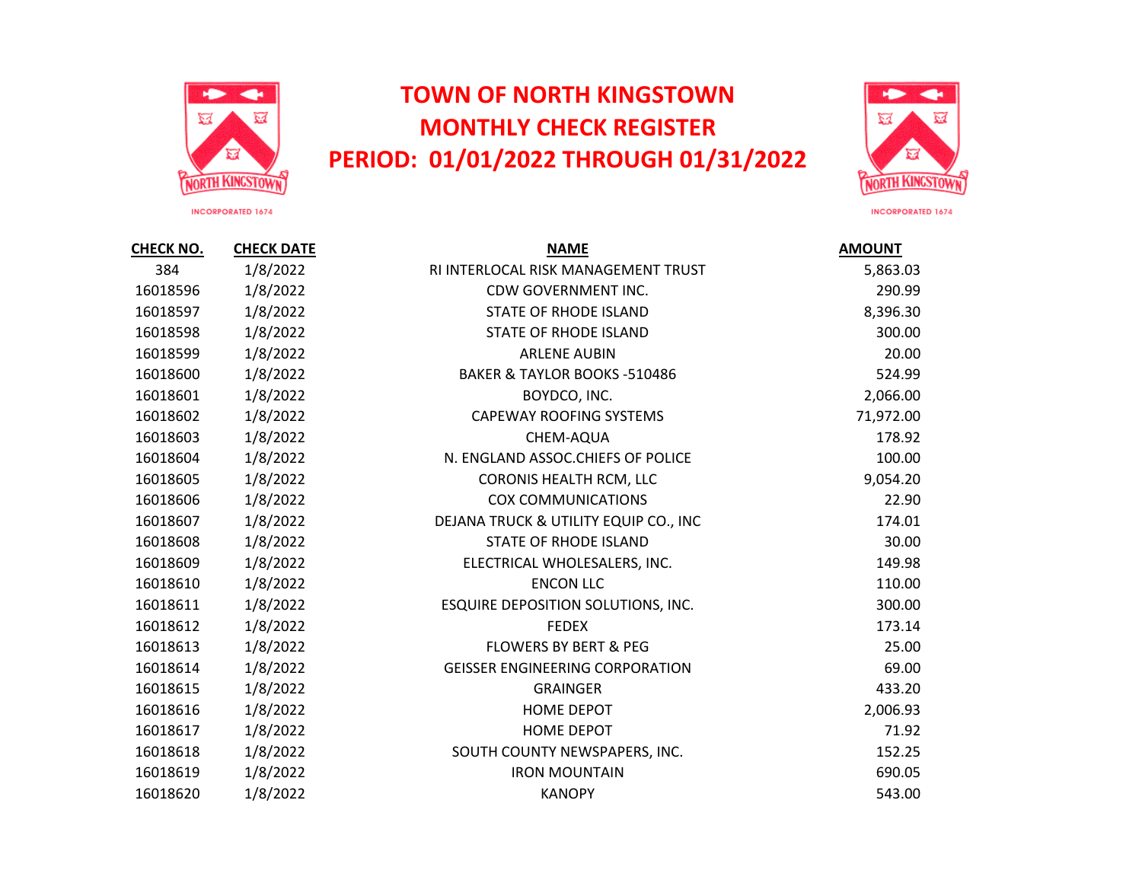

## **TOWN OF NORTH KINGSTOWN MONTHLY CHECK REGISTER PERIOD: 01/01/2022 THROUGH 01/31/2022**



INCORPORATED 1674

**CHECK NO. CHECK DATE NAME AMOUNT** 1/8/2022 RI INTERLOCAL RISK MANAGEMENT TRUST 5,863.03 1/8/2022 CDW GOVERNMENT INC. 290.99 1/8/2022 STATE OF RHODE ISLAND 8,396.30 1/8/2022 STATE OF RHODE ISLAND 300.00 1/8/2022 ARLENE AUBIN 20.00 16018600 1/8/2022 BAKER & TAYLOR BOOKS -510486 524.99 1/8/2022 BOYDCO, INC. 2,066.00 1/8/2022 CAPEWAY ROOFING SYSTEMS 71,972.00 1/8/2022 CHEM-AQUA 178.92 16018604 1/8/2022 N. ENGLAND ASSOC.CHIEFS OF POLICE 100.00 1/8/2022 CORONIS HEALTH RCM, LLC 9,054.20 1/8/2022 COX COMMUNICATIONS 22.90 1/8/2022 DEJANA TRUCK & UTILITY EQUIP CO., INC 174.01 1/8/2022 STATE OF RHODE ISLAND 30.00 1/8/2022 ELECTRICAL WHOLESALERS, INC. 149.98 1/8/2022 ENCON LLC 110.00 1/8/2022 ESQUIRE DEPOSITION SOLUTIONS, INC. 300.00 1/8/2022 FEDEX 173.14 1/8/2022 FLOWERS BY BERT & PEG 25.00 1/8/2022 GEISSER ENGINEERING CORPORATION 69.00 1/8/2022 GRAINGER 433.20 1/8/2022 HOME DEPOT 2,006.93 1/8/2022 HOME DEPOT 71.92 1/8/2022 SOUTH COUNTY NEWSPAPERS, INC. 152.25 1/8/2022 IRON MOUNTAIN 690.05 1/8/2022 KANOPY 543.00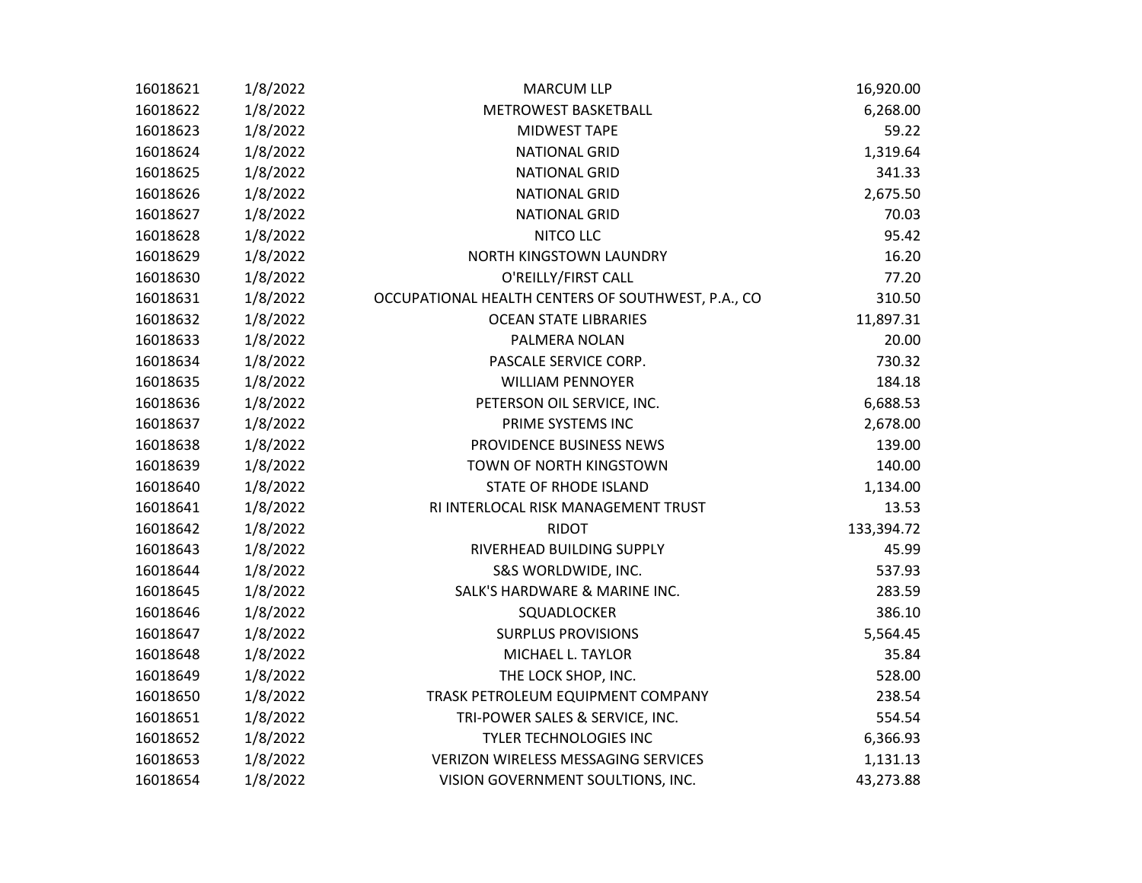| 16018621 | 1/8/2022 | <b>MARCUM LLP</b>                                  | 16,920.00  |
|----------|----------|----------------------------------------------------|------------|
| 16018622 | 1/8/2022 | METROWEST BASKETBALL                               | 6,268.00   |
| 16018623 | 1/8/2022 | <b>MIDWEST TAPE</b>                                | 59.22      |
| 16018624 | 1/8/2022 | <b>NATIONAL GRID</b>                               | 1,319.64   |
| 16018625 | 1/8/2022 | <b>NATIONAL GRID</b>                               | 341.33     |
| 16018626 | 1/8/2022 | <b>NATIONAL GRID</b>                               | 2,675.50   |
| 16018627 | 1/8/2022 | <b>NATIONAL GRID</b>                               | 70.03      |
| 16018628 | 1/8/2022 | NITCO LLC                                          | 95.42      |
| 16018629 | 1/8/2022 | NORTH KINGSTOWN LAUNDRY                            | 16.20      |
| 16018630 | 1/8/2022 | O'REILLY/FIRST CALL                                | 77.20      |
| 16018631 | 1/8/2022 | OCCUPATIONAL HEALTH CENTERS OF SOUTHWEST, P.A., CO | 310.50     |
| 16018632 | 1/8/2022 | <b>OCEAN STATE LIBRARIES</b>                       | 11,897.31  |
| 16018633 | 1/8/2022 | PALMERA NOLAN                                      | 20.00      |
| 16018634 | 1/8/2022 | PASCALE SERVICE CORP.                              | 730.32     |
| 16018635 | 1/8/2022 | <b>WILLIAM PENNOYER</b>                            | 184.18     |
| 16018636 | 1/8/2022 | PETERSON OIL SERVICE, INC.                         | 6,688.53   |
| 16018637 | 1/8/2022 | PRIME SYSTEMS INC                                  | 2,678.00   |
| 16018638 | 1/8/2022 | PROVIDENCE BUSINESS NEWS                           | 139.00     |
| 16018639 | 1/8/2022 | TOWN OF NORTH KINGSTOWN                            | 140.00     |
| 16018640 | 1/8/2022 | STATE OF RHODE ISLAND                              | 1,134.00   |
| 16018641 | 1/8/2022 | RI INTERLOCAL RISK MANAGEMENT TRUST                | 13.53      |
| 16018642 | 1/8/2022 | <b>RIDOT</b>                                       | 133,394.72 |
| 16018643 | 1/8/2022 | RIVERHEAD BUILDING SUPPLY                          | 45.99      |
| 16018644 | 1/8/2022 | S&S WORLDWIDE, INC.                                | 537.93     |
| 16018645 | 1/8/2022 | SALK'S HARDWARE & MARINE INC.                      | 283.59     |
| 16018646 | 1/8/2022 | SQUADLOCKER                                        | 386.10     |
| 16018647 | 1/8/2022 | <b>SURPLUS PROVISIONS</b>                          | 5,564.45   |
| 16018648 | 1/8/2022 | MICHAEL L. TAYLOR                                  | 35.84      |
| 16018649 | 1/8/2022 | THE LOCK SHOP, INC.                                | 528.00     |
| 16018650 | 1/8/2022 | TRASK PETROLEUM EQUIPMENT COMPANY                  | 238.54     |
| 16018651 | 1/8/2022 | TRI-POWER SALES & SERVICE, INC.                    | 554.54     |
| 16018652 | 1/8/2022 | <b>TYLER TECHNOLOGIES INC</b>                      | 6,366.93   |
| 16018653 | 1/8/2022 | <b>VERIZON WIRELESS MESSAGING SERVICES</b>         | 1,131.13   |
| 16018654 | 1/8/2022 | VISION GOVERNMENT SOULTIONS, INC.                  | 43,273.88  |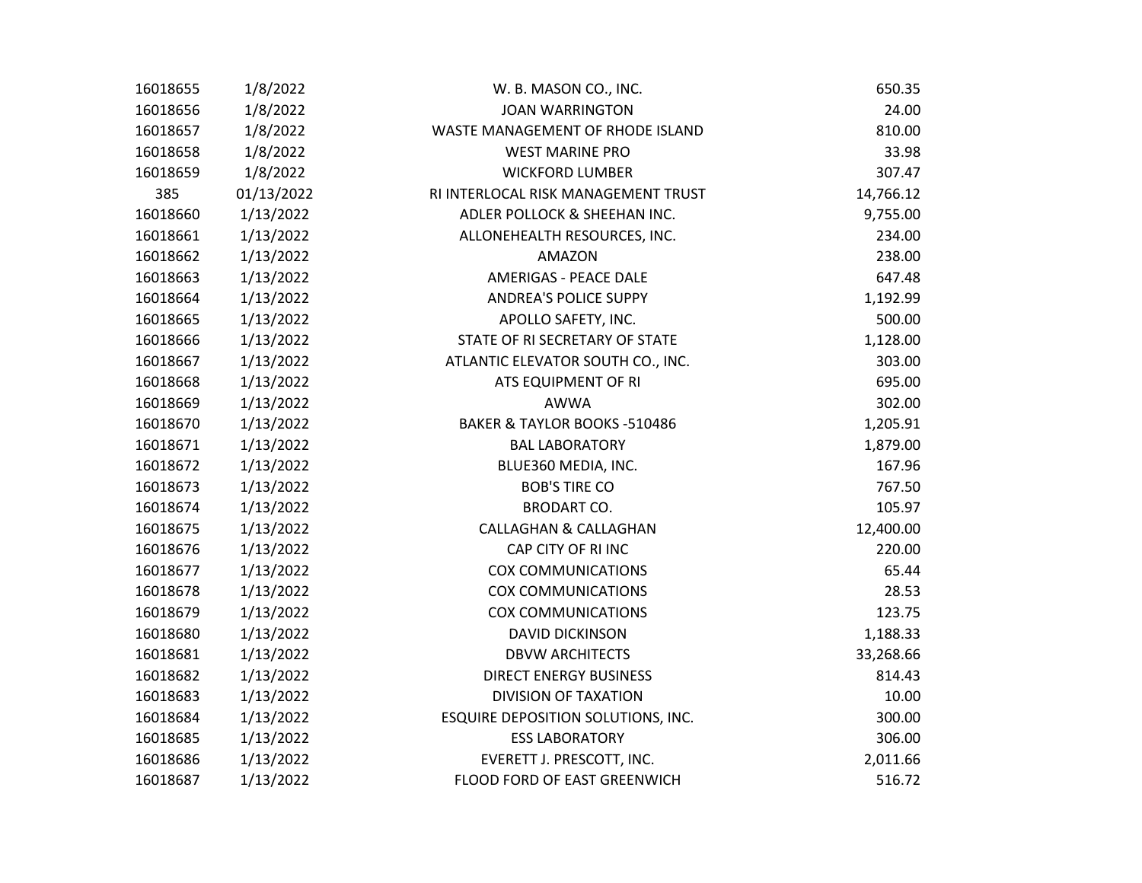| 16018655 | 1/8/2022   | W. B. MASON CO., INC.               | 650.35    |
|----------|------------|-------------------------------------|-----------|
| 16018656 | 1/8/2022   | <b>JOAN WARRINGTON</b>              | 24.00     |
| 16018657 | 1/8/2022   | WASTE MANAGEMENT OF RHODE ISLAND    | 810.00    |
| 16018658 | 1/8/2022   | <b>WEST MARINE PRO</b>              | 33.98     |
| 16018659 | 1/8/2022   | <b>WICKFORD LUMBER</b>              | 307.47    |
| 385      | 01/13/2022 | RI INTERLOCAL RISK MANAGEMENT TRUST | 14,766.12 |
| 16018660 | 1/13/2022  | ADLER POLLOCK & SHEEHAN INC.        | 9,755.00  |
| 16018661 | 1/13/2022  | ALLONEHEALTH RESOURCES, INC.        | 234.00    |
| 16018662 | 1/13/2022  | <b>AMAZON</b>                       | 238.00    |
| 16018663 | 1/13/2022  | <b>AMERIGAS - PEACE DALE</b>        | 647.48    |
| 16018664 | 1/13/2022  | <b>ANDREA'S POLICE SUPPY</b>        | 1,192.99  |
| 16018665 | 1/13/2022  | APOLLO SAFETY, INC.                 | 500.00    |
| 16018666 | 1/13/2022  | STATE OF RI SECRETARY OF STATE      | 1,128.00  |
| 16018667 | 1/13/2022  | ATLANTIC ELEVATOR SOUTH CO., INC.   | 303.00    |
| 16018668 | 1/13/2022  | ATS EQUIPMENT OF RI                 | 695.00    |
| 16018669 | 1/13/2022  | <b>AWWA</b>                         | 302.00    |
| 16018670 | 1/13/2022  | BAKER & TAYLOR BOOKS -510486        | 1,205.91  |
| 16018671 | 1/13/2022  | <b>BAL LABORATORY</b>               | 1,879.00  |
| 16018672 | 1/13/2022  | BLUE360 MEDIA, INC.                 | 167.96    |
| 16018673 | 1/13/2022  | <b>BOB'S TIRE CO</b>                | 767.50    |
| 16018674 | 1/13/2022  | <b>BRODART CO.</b>                  | 105.97    |
| 16018675 | 1/13/2022  | <b>CALLAGHAN &amp; CALLAGHAN</b>    | 12,400.00 |
| 16018676 | 1/13/2022  | CAP CITY OF RI INC                  | 220.00    |
| 16018677 | 1/13/2022  | <b>COX COMMUNICATIONS</b>           | 65.44     |
| 16018678 | 1/13/2022  | <b>COX COMMUNICATIONS</b>           | 28.53     |
| 16018679 | 1/13/2022  | <b>COX COMMUNICATIONS</b>           | 123.75    |
| 16018680 | 1/13/2022  | <b>DAVID DICKINSON</b>              | 1,188.33  |
| 16018681 | 1/13/2022  | <b>DBVW ARCHITECTS</b>              | 33,268.66 |
| 16018682 | 1/13/2022  | <b>DIRECT ENERGY BUSINESS</b>       | 814.43    |
| 16018683 | 1/13/2022  | <b>DIVISION OF TAXATION</b>         | 10.00     |
| 16018684 | 1/13/2022  | ESQUIRE DEPOSITION SOLUTIONS, INC.  | 300.00    |
| 16018685 | 1/13/2022  | <b>ESS LABORATORY</b>               | 306.00    |
| 16018686 | 1/13/2022  | EVERETT J. PRESCOTT, INC.           | 2,011.66  |
| 16018687 | 1/13/2022  | FLOOD FORD OF EAST GREENWICH        | 516.72    |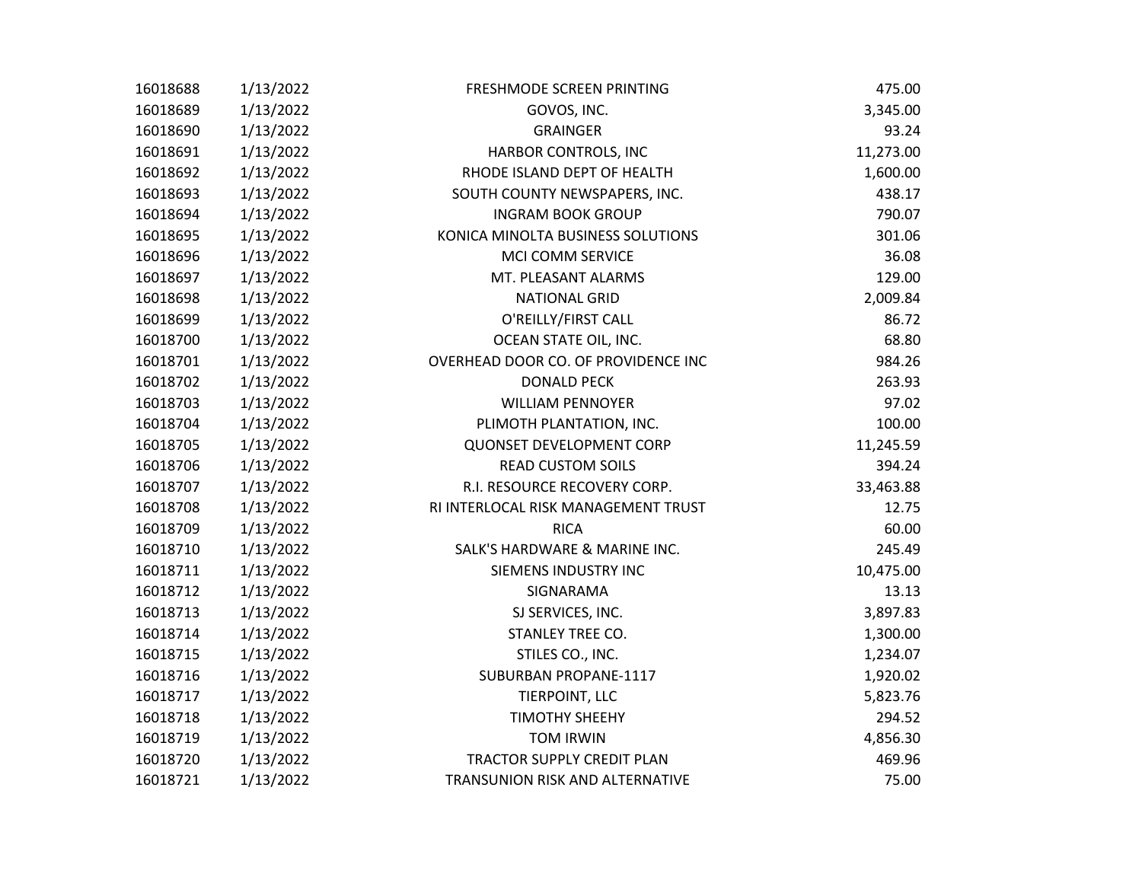| 16018688 | 1/13/2022 | FRESHMODE SCREEN PRINTING           | 475.00    |
|----------|-----------|-------------------------------------|-----------|
| 16018689 | 1/13/2022 | GOVOS, INC.                         | 3,345.00  |
| 16018690 | 1/13/2022 | <b>GRAINGER</b>                     | 93.24     |
| 16018691 | 1/13/2022 | HARBOR CONTROLS, INC                | 11,273.00 |
| 16018692 | 1/13/2022 | RHODE ISLAND DEPT OF HEALTH         | 1,600.00  |
| 16018693 | 1/13/2022 | SOUTH COUNTY NEWSPAPERS, INC.       | 438.17    |
| 16018694 | 1/13/2022 | <b>INGRAM BOOK GROUP</b>            | 790.07    |
| 16018695 | 1/13/2022 | KONICA MINOLTA BUSINESS SOLUTIONS   | 301.06    |
| 16018696 | 1/13/2022 | MCI COMM SERVICE                    | 36.08     |
| 16018697 | 1/13/2022 | MT. PLEASANT ALARMS                 | 129.00    |
| 16018698 | 1/13/2022 | <b>NATIONAL GRID</b>                | 2,009.84  |
| 16018699 | 1/13/2022 | O'REILLY/FIRST CALL                 | 86.72     |
| 16018700 | 1/13/2022 | OCEAN STATE OIL, INC.               | 68.80     |
| 16018701 | 1/13/2022 | OVERHEAD DOOR CO. OF PROVIDENCE INC | 984.26    |
| 16018702 | 1/13/2022 | <b>DONALD PECK</b>                  | 263.93    |
| 16018703 | 1/13/2022 | <b>WILLIAM PENNOYER</b>             | 97.02     |
| 16018704 | 1/13/2022 | PLIMOTH PLANTATION, INC.            | 100.00    |
| 16018705 | 1/13/2022 | <b>QUONSET DEVELOPMENT CORP</b>     | 11,245.59 |
| 16018706 | 1/13/2022 | <b>READ CUSTOM SOILS</b>            | 394.24    |
| 16018707 | 1/13/2022 | R.I. RESOURCE RECOVERY CORP.        | 33,463.88 |
| 16018708 | 1/13/2022 | RI INTERLOCAL RISK MANAGEMENT TRUST | 12.75     |
| 16018709 | 1/13/2022 | <b>RICA</b>                         | 60.00     |
| 16018710 | 1/13/2022 | SALK'S HARDWARE & MARINE INC.       | 245.49    |
| 16018711 | 1/13/2022 | SIEMENS INDUSTRY INC                | 10,475.00 |
| 16018712 | 1/13/2022 | SIGNARAMA                           | 13.13     |
| 16018713 | 1/13/2022 | SJ SERVICES, INC.                   | 3,897.83  |
| 16018714 | 1/13/2022 | STANLEY TREE CO.                    | 1,300.00  |
| 16018715 | 1/13/2022 | STILES CO., INC.                    | 1,234.07  |
| 16018716 | 1/13/2022 | SUBURBAN PROPANE-1117               | 1,920.02  |
| 16018717 | 1/13/2022 | TIERPOINT, LLC                      | 5,823.76  |
| 16018718 | 1/13/2022 | <b>TIMOTHY SHEEHY</b>               | 294.52    |
| 16018719 | 1/13/2022 | <b>TOM IRWIN</b>                    | 4,856.30  |
| 16018720 | 1/13/2022 | TRACTOR SUPPLY CREDIT PLAN          | 469.96    |
| 16018721 | 1/13/2022 | TRANSUNION RISK AND ALTERNATIVE     | 75.00     |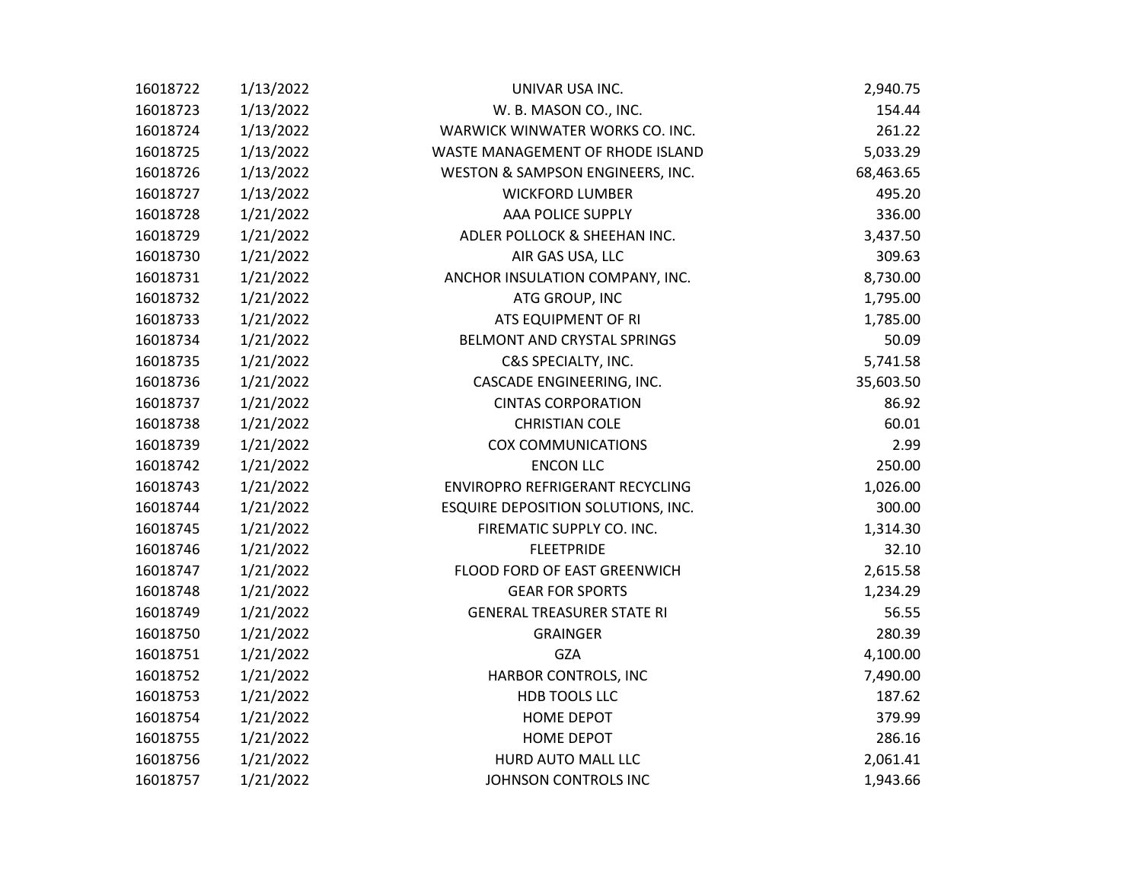| 16018722 | 1/13/2022 | UNIVAR USA INC.                    | 2,940.75  |
|----------|-----------|------------------------------------|-----------|
| 16018723 | 1/13/2022 | W. B. MASON CO., INC.              | 154.44    |
| 16018724 | 1/13/2022 | WARWICK WINWATER WORKS CO. INC.    | 261.22    |
| 16018725 | 1/13/2022 | WASTE MANAGEMENT OF RHODE ISLAND   | 5,033.29  |
| 16018726 | 1/13/2022 | WESTON & SAMPSON ENGINEERS, INC.   | 68,463.65 |
| 16018727 | 1/13/2022 | <b>WICKFORD LUMBER</b>             | 495.20    |
| 16018728 | 1/21/2022 | AAA POLICE SUPPLY                  | 336.00    |
| 16018729 | 1/21/2022 | ADLER POLLOCK & SHEEHAN INC.       | 3,437.50  |
| 16018730 | 1/21/2022 | AIR GAS USA, LLC                   | 309.63    |
| 16018731 | 1/21/2022 | ANCHOR INSULATION COMPANY, INC.    | 8,730.00  |
| 16018732 | 1/21/2022 | ATG GROUP, INC                     | 1,795.00  |
| 16018733 | 1/21/2022 | ATS EQUIPMENT OF RI                | 1,785.00  |
| 16018734 | 1/21/2022 | BELMONT AND CRYSTAL SPRINGS        | 50.09     |
| 16018735 | 1/21/2022 | C&S SPECIALTY, INC.                | 5,741.58  |
| 16018736 | 1/21/2022 | CASCADE ENGINEERING, INC.          | 35,603.50 |
| 16018737 | 1/21/2022 | <b>CINTAS CORPORATION</b>          | 86.92     |
| 16018738 | 1/21/2022 | <b>CHRISTIAN COLE</b>              | 60.01     |
| 16018739 | 1/21/2022 | <b>COX COMMUNICATIONS</b>          | 2.99      |
| 16018742 | 1/21/2022 | <b>ENCON LLC</b>                   | 250.00    |
| 16018743 | 1/21/2022 | ENVIROPRO REFRIGERANT RECYCLING    | 1,026.00  |
| 16018744 | 1/21/2022 | ESQUIRE DEPOSITION SOLUTIONS, INC. | 300.00    |
| 16018745 | 1/21/2022 | FIREMATIC SUPPLY CO. INC.          | 1,314.30  |
| 16018746 | 1/21/2022 | <b>FLEETPRIDE</b>                  | 32.10     |
| 16018747 | 1/21/2022 | FLOOD FORD OF EAST GREENWICH       | 2,615.58  |
| 16018748 | 1/21/2022 | <b>GEAR FOR SPORTS</b>             | 1,234.29  |
| 16018749 | 1/21/2022 | <b>GENERAL TREASURER STATE RI</b>  | 56.55     |
| 16018750 | 1/21/2022 | <b>GRAINGER</b>                    | 280.39    |
| 16018751 | 1/21/2022 | <b>GZA</b>                         | 4,100.00  |
| 16018752 | 1/21/2022 | HARBOR CONTROLS, INC               | 7,490.00  |
| 16018753 | 1/21/2022 | HDB TOOLS LLC                      | 187.62    |
| 16018754 | 1/21/2022 | HOME DEPOT                         | 379.99    |
| 16018755 | 1/21/2022 | <b>HOME DEPOT</b>                  | 286.16    |
| 16018756 | 1/21/2022 | HURD AUTO MALL LLC                 | 2,061.41  |
| 16018757 | 1/21/2022 | JOHNSON CONTROLS INC               | 1,943.66  |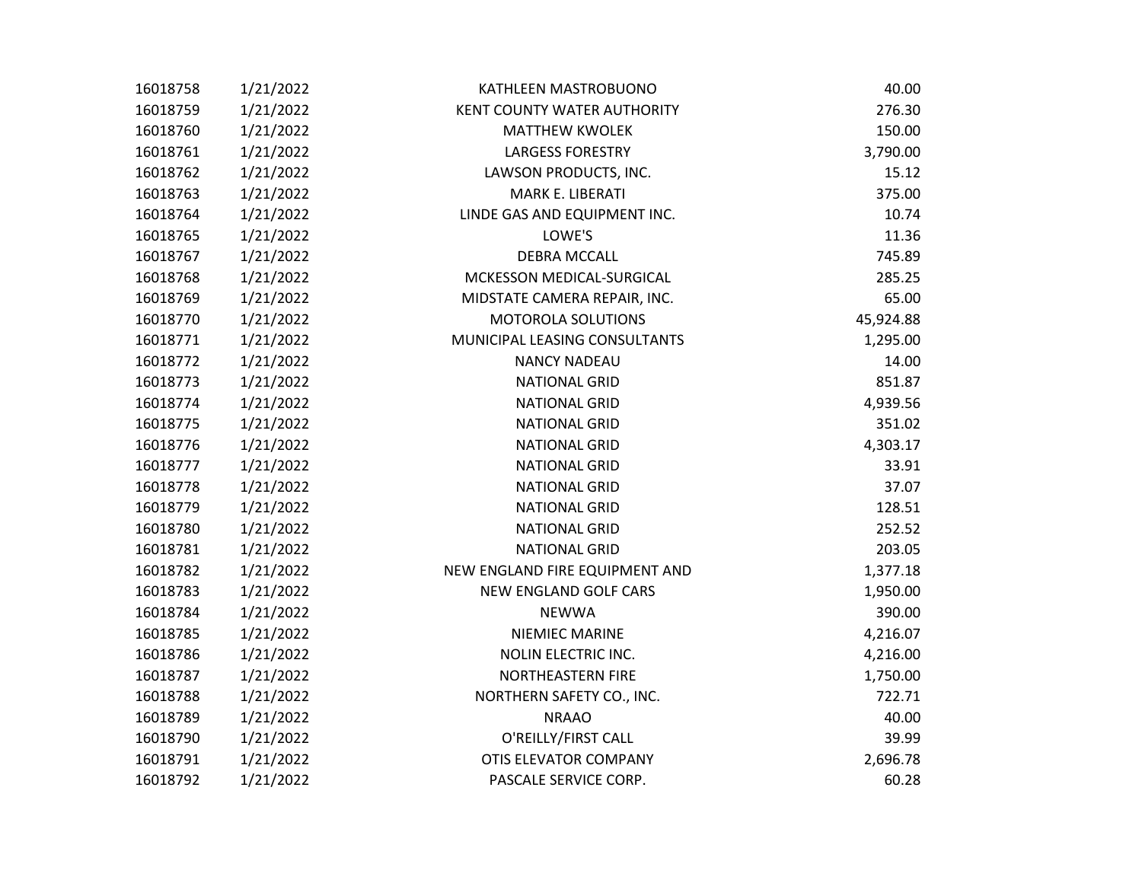| 16018758 | 1/21/2022 | KATHLEEN MASTROBUONO               | 40.00     |
|----------|-----------|------------------------------------|-----------|
| 16018759 | 1/21/2022 | <b>KENT COUNTY WATER AUTHORITY</b> | 276.30    |
| 16018760 | 1/21/2022 | <b>MATTHEW KWOLEK</b>              | 150.00    |
| 16018761 | 1/21/2022 | <b>LARGESS FORESTRY</b>            | 3,790.00  |
| 16018762 | 1/21/2022 | LAWSON PRODUCTS, INC.              | 15.12     |
| 16018763 | 1/21/2022 | MARK E. LIBERATI                   | 375.00    |
| 16018764 | 1/21/2022 | LINDE GAS AND EQUIPMENT INC.       | 10.74     |
| 16018765 | 1/21/2022 | LOWE'S                             | 11.36     |
| 16018767 | 1/21/2022 | <b>DEBRA MCCALL</b>                | 745.89    |
| 16018768 | 1/21/2022 | MCKESSON MEDICAL-SURGICAL          | 285.25    |
| 16018769 | 1/21/2022 | MIDSTATE CAMERA REPAIR, INC.       | 65.00     |
| 16018770 | 1/21/2022 | MOTOROLA SOLUTIONS                 | 45,924.88 |
| 16018771 | 1/21/2022 | MUNICIPAL LEASING CONSULTANTS      | 1,295.00  |
| 16018772 | 1/21/2022 | <b>NANCY NADEAU</b>                | 14.00     |
| 16018773 | 1/21/2022 | <b>NATIONAL GRID</b>               | 851.87    |
| 16018774 | 1/21/2022 | <b>NATIONAL GRID</b>               | 4,939.56  |
| 16018775 | 1/21/2022 | <b>NATIONAL GRID</b>               | 351.02    |
| 16018776 | 1/21/2022 | <b>NATIONAL GRID</b>               | 4,303.17  |
| 16018777 | 1/21/2022 | <b>NATIONAL GRID</b>               | 33.91     |
| 16018778 | 1/21/2022 | <b>NATIONAL GRID</b>               | 37.07     |
| 16018779 | 1/21/2022 | <b>NATIONAL GRID</b>               | 128.51    |
| 16018780 | 1/21/2022 | <b>NATIONAL GRID</b>               | 252.52    |
| 16018781 | 1/21/2022 | <b>NATIONAL GRID</b>               | 203.05    |
| 16018782 | 1/21/2022 | NEW ENGLAND FIRE EQUIPMENT AND     | 1,377.18  |
| 16018783 | 1/21/2022 | NEW ENGLAND GOLF CARS              | 1,950.00  |
| 16018784 | 1/21/2022 | <b>NEWWA</b>                       | 390.00    |
| 16018785 | 1/21/2022 | NIEMIEC MARINE                     | 4,216.07  |
| 16018786 | 1/21/2022 | NOLIN ELECTRIC INC.                | 4,216.00  |
| 16018787 | 1/21/2022 | NORTHEASTERN FIRE                  | 1,750.00  |
| 16018788 | 1/21/2022 | NORTHERN SAFETY CO., INC.          | 722.71    |
| 16018789 | 1/21/2022 | <b>NRAAO</b>                       | 40.00     |
| 16018790 | 1/21/2022 | O'REILLY/FIRST CALL                | 39.99     |
| 16018791 | 1/21/2022 | OTIS ELEVATOR COMPANY              | 2,696.78  |
| 16018792 | 1/21/2022 | PASCALE SERVICE CORP.              | 60.28     |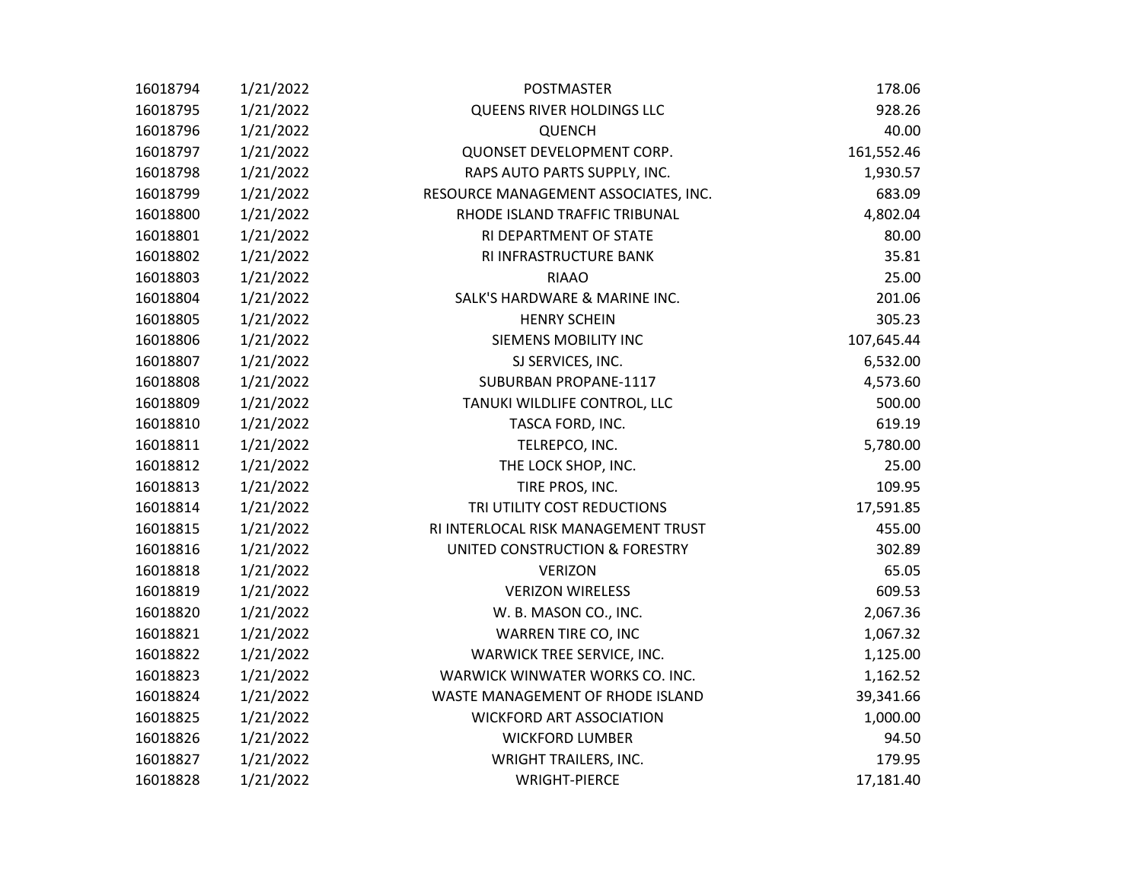| 16018794 | 1/21/2022 | <b>POSTMASTER</b>                    | 178.06     |
|----------|-----------|--------------------------------------|------------|
| 16018795 | 1/21/2022 | QUEENS RIVER HOLDINGS LLC            | 928.26     |
| 16018796 | 1/21/2022 | <b>QUENCH</b>                        | 40.00      |
| 16018797 | 1/21/2022 | QUONSET DEVELOPMENT CORP.            | 161,552.46 |
| 16018798 | 1/21/2022 | RAPS AUTO PARTS SUPPLY, INC.         | 1,930.57   |
| 16018799 | 1/21/2022 | RESOURCE MANAGEMENT ASSOCIATES, INC. | 683.09     |
| 16018800 | 1/21/2022 | RHODE ISLAND TRAFFIC TRIBUNAL        | 4,802.04   |
| 16018801 | 1/21/2022 | RI DEPARTMENT OF STATE               | 80.00      |
| 16018802 | 1/21/2022 | RI INFRASTRUCTURE BANK               | 35.81      |
| 16018803 | 1/21/2022 | <b>RIAAO</b>                         | 25.00      |
| 16018804 | 1/21/2022 | SALK'S HARDWARE & MARINE INC.        | 201.06     |
| 16018805 | 1/21/2022 | <b>HENRY SCHEIN</b>                  | 305.23     |
| 16018806 | 1/21/2022 | SIEMENS MOBILITY INC                 | 107,645.44 |
| 16018807 | 1/21/2022 | SJ SERVICES, INC.                    | 6,532.00   |
| 16018808 | 1/21/2022 | SUBURBAN PROPANE-1117                | 4,573.60   |
| 16018809 | 1/21/2022 | TANUKI WILDLIFE CONTROL, LLC         | 500.00     |
| 16018810 | 1/21/2022 | TASCA FORD, INC.                     | 619.19     |
| 16018811 | 1/21/2022 | TELREPCO, INC.                       | 5,780.00   |
| 16018812 | 1/21/2022 | THE LOCK SHOP, INC.                  | 25.00      |
| 16018813 | 1/21/2022 | TIRE PROS, INC.                      | 109.95     |
| 16018814 | 1/21/2022 | TRI UTILITY COST REDUCTIONS          | 17,591.85  |
| 16018815 | 1/21/2022 | RI INTERLOCAL RISK MANAGEMENT TRUST  | 455.00     |
| 16018816 | 1/21/2022 | UNITED CONSTRUCTION & FORESTRY       | 302.89     |
| 16018818 | 1/21/2022 | <b>VERIZON</b>                       | 65.05      |
| 16018819 | 1/21/2022 | <b>VERIZON WIRELESS</b>              | 609.53     |
| 16018820 | 1/21/2022 | W. B. MASON CO., INC.                | 2,067.36   |
| 16018821 | 1/21/2022 | WARREN TIRE CO, INC                  | 1,067.32   |
| 16018822 | 1/21/2022 | WARWICK TREE SERVICE, INC.           | 1,125.00   |
| 16018823 | 1/21/2022 | WARWICK WINWATER WORKS CO. INC.      | 1,162.52   |
| 16018824 | 1/21/2022 | WASTE MANAGEMENT OF RHODE ISLAND     | 39,341.66  |
| 16018825 | 1/21/2022 | <b>WICKFORD ART ASSOCIATION</b>      | 1,000.00   |
| 16018826 | 1/21/2022 | <b>WICKFORD LUMBER</b>               | 94.50      |
| 16018827 | 1/21/2022 | <b>WRIGHT TRAILERS, INC.</b>         | 179.95     |
| 16018828 | 1/21/2022 | <b>WRIGHT-PIERCE</b>                 | 17,181.40  |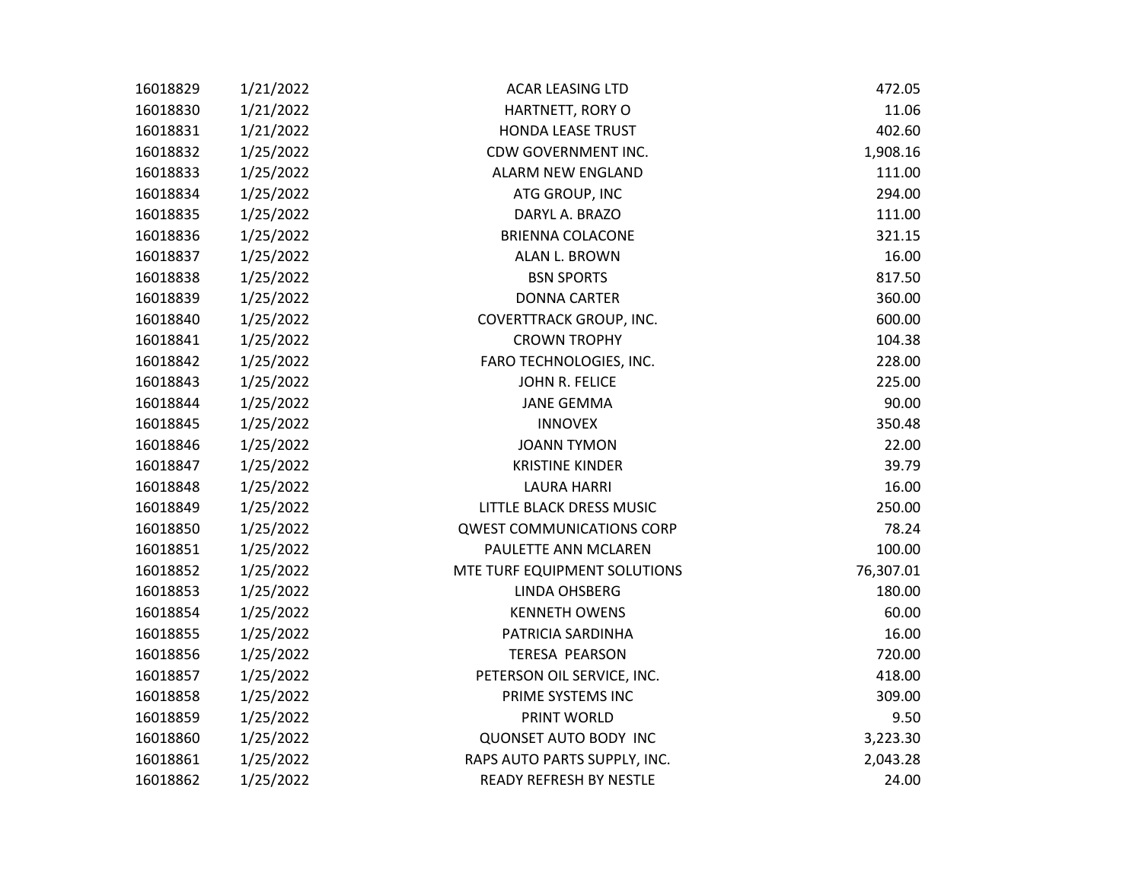| 16018829 | 1/21/2022 | <b>ACAR LEASING LTD</b>          | 472.05    |
|----------|-----------|----------------------------------|-----------|
| 16018830 | 1/21/2022 | HARTNETT, RORY O                 | 11.06     |
| 16018831 | 1/21/2022 | <b>HONDA LEASE TRUST</b>         | 402.60    |
| 16018832 | 1/25/2022 | CDW GOVERNMENT INC.              | 1,908.16  |
| 16018833 | 1/25/2022 | ALARM NEW ENGLAND                | 111.00    |
| 16018834 | 1/25/2022 | ATG GROUP, INC                   | 294.00    |
| 16018835 | 1/25/2022 | DARYL A. BRAZO                   | 111.00    |
| 16018836 | 1/25/2022 | <b>BRIENNA COLACONE</b>          | 321.15    |
| 16018837 | 1/25/2022 | ALAN L. BROWN                    | 16.00     |
| 16018838 | 1/25/2022 | <b>BSN SPORTS</b>                | 817.50    |
| 16018839 | 1/25/2022 | <b>DONNA CARTER</b>              | 360.00    |
| 16018840 | 1/25/2022 | COVERTTRACK GROUP, INC.          | 600.00    |
| 16018841 | 1/25/2022 | <b>CROWN TROPHY</b>              | 104.38    |
| 16018842 | 1/25/2022 | FARO TECHNOLOGIES, INC.          | 228.00    |
| 16018843 | 1/25/2022 | JOHN R. FELICE                   | 225.00    |
| 16018844 | 1/25/2022 | <b>JANE GEMMA</b>                | 90.00     |
| 16018845 | 1/25/2022 | <b>INNOVEX</b>                   | 350.48    |
| 16018846 | 1/25/2022 | <b>JOANN TYMON</b>               | 22.00     |
| 16018847 | 1/25/2022 | <b>KRISTINE KINDER</b>           | 39.79     |
| 16018848 | 1/25/2022 | <b>LAURA HARRI</b>               | 16.00     |
| 16018849 | 1/25/2022 | LITTLE BLACK DRESS MUSIC         | 250.00    |
| 16018850 | 1/25/2022 | <b>QWEST COMMUNICATIONS CORP</b> | 78.24     |
| 16018851 | 1/25/2022 | PAULETTE ANN MCLAREN             | 100.00    |
| 16018852 | 1/25/2022 | MTE TURF EQUIPMENT SOLUTIONS     | 76,307.01 |
| 16018853 | 1/25/2022 | LINDA OHSBERG                    | 180.00    |
| 16018854 | 1/25/2022 | <b>KENNETH OWENS</b>             | 60.00     |
| 16018855 | 1/25/2022 | PATRICIA SARDINHA                | 16.00     |
| 16018856 | 1/25/2022 | <b>TERESA PEARSON</b>            | 720.00    |
| 16018857 | 1/25/2022 | PETERSON OIL SERVICE, INC.       | 418.00    |
| 16018858 | 1/25/2022 | PRIME SYSTEMS INC                | 309.00    |
| 16018859 | 1/25/2022 | PRINT WORLD                      | 9.50      |
| 16018860 | 1/25/2022 | <b>QUONSET AUTO BODY INC</b>     | 3,223.30  |
| 16018861 | 1/25/2022 | RAPS AUTO PARTS SUPPLY, INC.     | 2,043.28  |
| 16018862 | 1/25/2022 | <b>READY REFRESH BY NESTLE</b>   | 24.00     |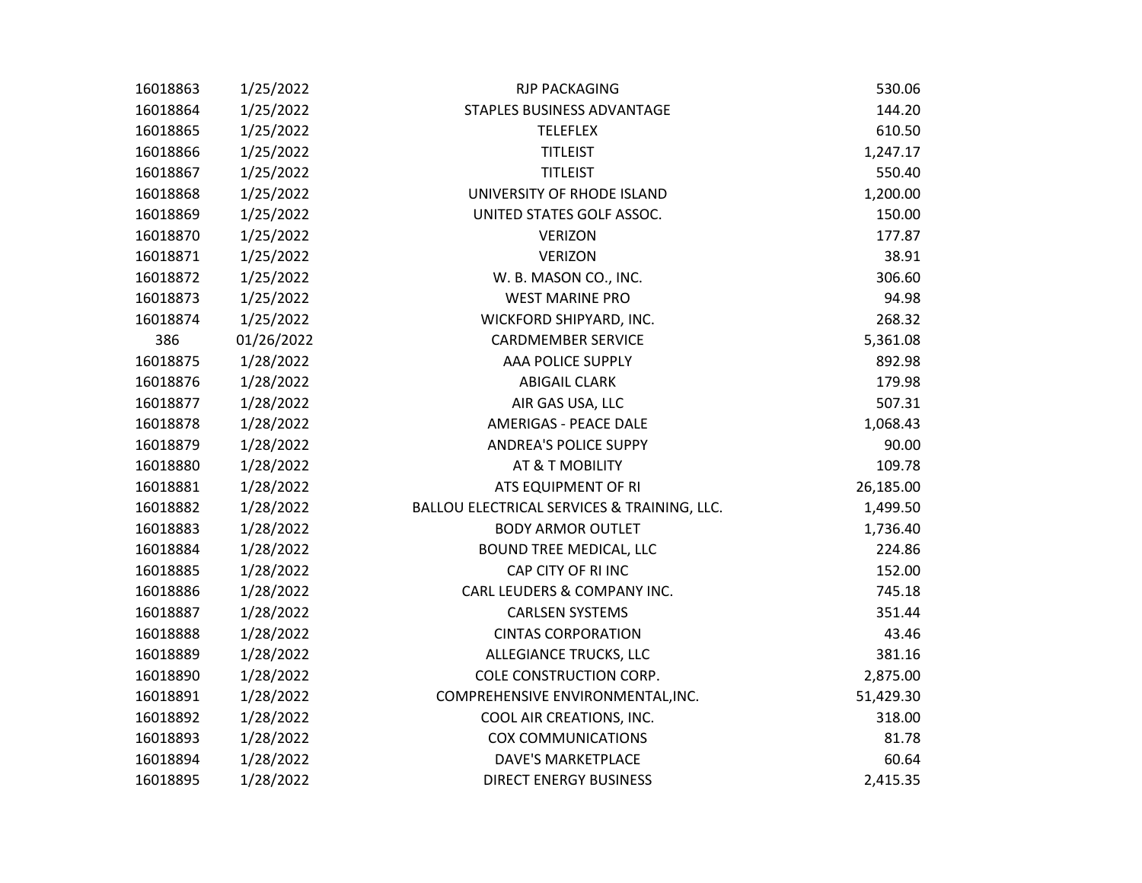| 16018863 | 1/25/2022  | <b>RJP PACKAGING</b>                        | 530.06    |
|----------|------------|---------------------------------------------|-----------|
| 16018864 | 1/25/2022  | STAPLES BUSINESS ADVANTAGE                  | 144.20    |
| 16018865 | 1/25/2022  | <b>TELEFLEX</b>                             | 610.50    |
| 16018866 | 1/25/2022  | <b>TITLEIST</b>                             | 1,247.17  |
| 16018867 | 1/25/2022  | <b>TITLEIST</b>                             | 550.40    |
| 16018868 | 1/25/2022  | UNIVERSITY OF RHODE ISLAND                  | 1,200.00  |
| 16018869 | 1/25/2022  | UNITED STATES GOLF ASSOC.                   | 150.00    |
| 16018870 | 1/25/2022  | <b>VERIZON</b>                              | 177.87    |
| 16018871 | 1/25/2022  | <b>VERIZON</b>                              | 38.91     |
| 16018872 | 1/25/2022  | W. B. MASON CO., INC.                       | 306.60    |
| 16018873 | 1/25/2022  | <b>WEST MARINE PRO</b>                      | 94.98     |
| 16018874 | 1/25/2022  | WICKFORD SHIPYARD, INC.                     | 268.32    |
| 386      | 01/26/2022 | <b>CARDMEMBER SERVICE</b>                   | 5,361.08  |
| 16018875 | 1/28/2022  | <b>AAA POLICE SUPPLY</b>                    | 892.98    |
| 16018876 | 1/28/2022  | <b>ABIGAIL CLARK</b>                        | 179.98    |
| 16018877 | 1/28/2022  | AIR GAS USA, LLC                            | 507.31    |
| 16018878 | 1/28/2022  | <b>AMERIGAS - PEACE DALE</b>                | 1,068.43  |
| 16018879 | 1/28/2022  | <b>ANDREA'S POLICE SUPPY</b>                | 90.00     |
| 16018880 | 1/28/2022  | AT & T MOBILITY                             | 109.78    |
| 16018881 | 1/28/2022  | ATS EQUIPMENT OF RI                         | 26,185.00 |
| 16018882 | 1/28/2022  | BALLOU ELECTRICAL SERVICES & TRAINING, LLC. | 1,499.50  |
| 16018883 | 1/28/2022  | <b>BODY ARMOR OUTLET</b>                    | 1,736.40  |
| 16018884 | 1/28/2022  | BOUND TREE MEDICAL, LLC                     | 224.86    |
| 16018885 | 1/28/2022  | CAP CITY OF RI INC                          | 152.00    |
| 16018886 | 1/28/2022  | CARL LEUDERS & COMPANY INC.                 | 745.18    |
| 16018887 | 1/28/2022  | <b>CARLSEN SYSTEMS</b>                      | 351.44    |
| 16018888 | 1/28/2022  | <b>CINTAS CORPORATION</b>                   | 43.46     |
| 16018889 | 1/28/2022  | ALLEGIANCE TRUCKS, LLC                      | 381.16    |
| 16018890 | 1/28/2022  | COLE CONSTRUCTION CORP.                     | 2,875.00  |
| 16018891 | 1/28/2022  | COMPREHENSIVE ENVIRONMENTAL, INC.           | 51,429.30 |
| 16018892 | 1/28/2022  | COOL AIR CREATIONS, INC.                    | 318.00    |
| 16018893 | 1/28/2022  | <b>COX COMMUNICATIONS</b>                   | 81.78     |
| 16018894 | 1/28/2022  | <b>DAVE'S MARKETPLACE</b>                   | 60.64     |
| 16018895 | 1/28/2022  | <b>DIRECT ENERGY BUSINESS</b>               | 2,415.35  |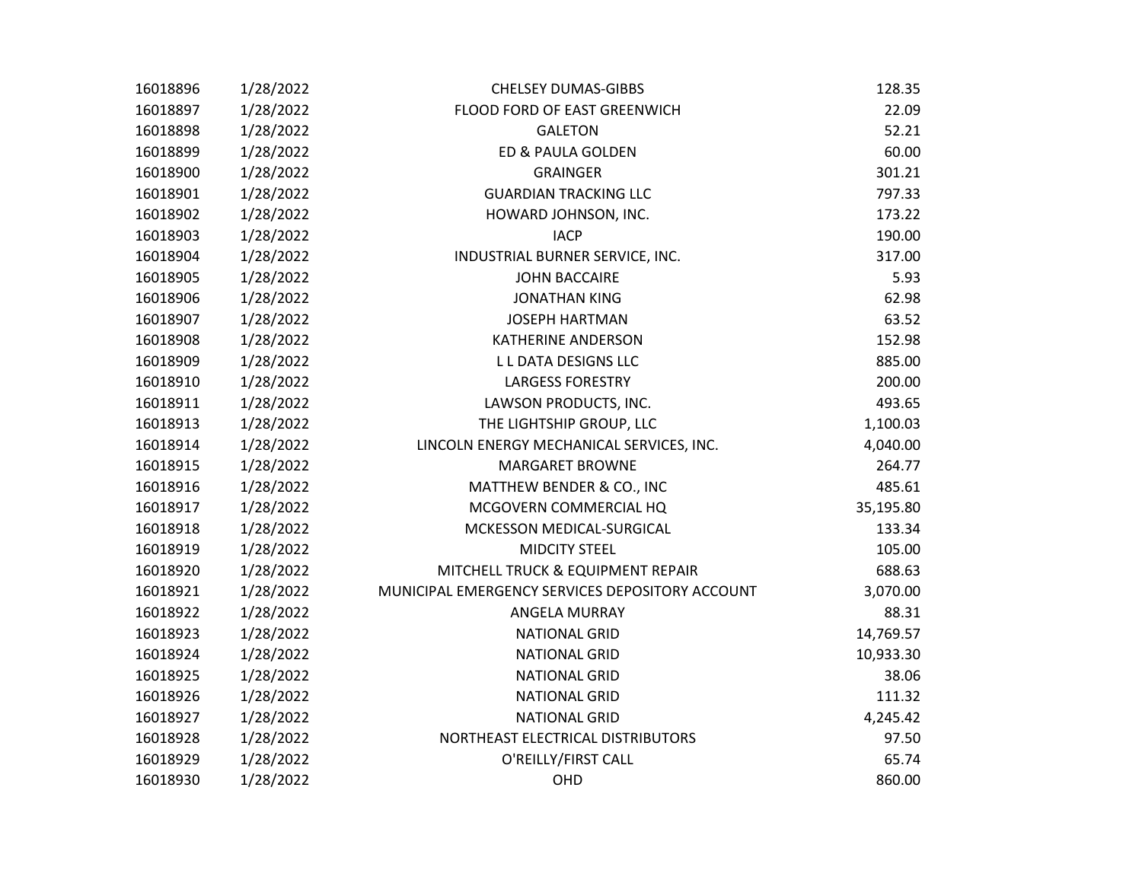| 16018896 | 1/28/2022 | <b>CHELSEY DUMAS-GIBBS</b>                      | 128.35    |
|----------|-----------|-------------------------------------------------|-----------|
| 16018897 | 1/28/2022 | FLOOD FORD OF EAST GREENWICH                    | 22.09     |
| 16018898 | 1/28/2022 | <b>GALETON</b>                                  | 52.21     |
| 16018899 | 1/28/2022 | ED & PAULA GOLDEN                               | 60.00     |
| 16018900 | 1/28/2022 | <b>GRAINGER</b>                                 | 301.21    |
| 16018901 | 1/28/2022 | <b>GUARDIAN TRACKING LLC</b>                    | 797.33    |
| 16018902 | 1/28/2022 | HOWARD JOHNSON, INC.                            | 173.22    |
| 16018903 | 1/28/2022 | <b>IACP</b>                                     | 190.00    |
| 16018904 | 1/28/2022 | INDUSTRIAL BURNER SERVICE, INC.                 | 317.00    |
| 16018905 | 1/28/2022 | <b>JOHN BACCAIRE</b>                            | 5.93      |
| 16018906 | 1/28/2022 | <b>JONATHAN KING</b>                            | 62.98     |
| 16018907 | 1/28/2022 | <b>JOSEPH HARTMAN</b>                           | 63.52     |
| 16018908 | 1/28/2022 | <b>KATHERINE ANDERSON</b>                       | 152.98    |
| 16018909 | 1/28/2022 | L L DATA DESIGNS LLC                            | 885.00    |
| 16018910 | 1/28/2022 | <b>LARGESS FORESTRY</b>                         | 200.00    |
| 16018911 | 1/28/2022 | LAWSON PRODUCTS, INC.                           | 493.65    |
| 16018913 | 1/28/2022 | THE LIGHTSHIP GROUP, LLC                        | 1,100.03  |
| 16018914 | 1/28/2022 | LINCOLN ENERGY MECHANICAL SERVICES, INC.        | 4,040.00  |
| 16018915 | 1/28/2022 | <b>MARGARET BROWNE</b>                          | 264.77    |
| 16018916 | 1/28/2022 | MATTHEW BENDER & CO., INC                       | 485.61    |
| 16018917 | 1/28/2022 | MCGOVERN COMMERCIAL HQ                          | 35,195.80 |
| 16018918 | 1/28/2022 | MCKESSON MEDICAL-SURGICAL                       | 133.34    |
| 16018919 | 1/28/2022 | <b>MIDCITY STEEL</b>                            | 105.00    |
| 16018920 | 1/28/2022 | MITCHELL TRUCK & EQUIPMENT REPAIR               | 688.63    |
| 16018921 | 1/28/2022 | MUNICIPAL EMERGENCY SERVICES DEPOSITORY ACCOUNT | 3,070.00  |
| 16018922 | 1/28/2022 | ANGELA MURRAY                                   | 88.31     |
| 16018923 | 1/28/2022 | <b>NATIONAL GRID</b>                            | 14,769.57 |
| 16018924 | 1/28/2022 | <b>NATIONAL GRID</b>                            | 10,933.30 |
| 16018925 | 1/28/2022 | <b>NATIONAL GRID</b>                            | 38.06     |
| 16018926 | 1/28/2022 | <b>NATIONAL GRID</b>                            | 111.32    |
| 16018927 | 1/28/2022 | <b>NATIONAL GRID</b>                            | 4,245.42  |
| 16018928 | 1/28/2022 | NORTHEAST ELECTRICAL DISTRIBUTORS               | 97.50     |
| 16018929 | 1/28/2022 | O'REILLY/FIRST CALL                             | 65.74     |
| 16018930 | 1/28/2022 | OHD                                             | 860.00    |